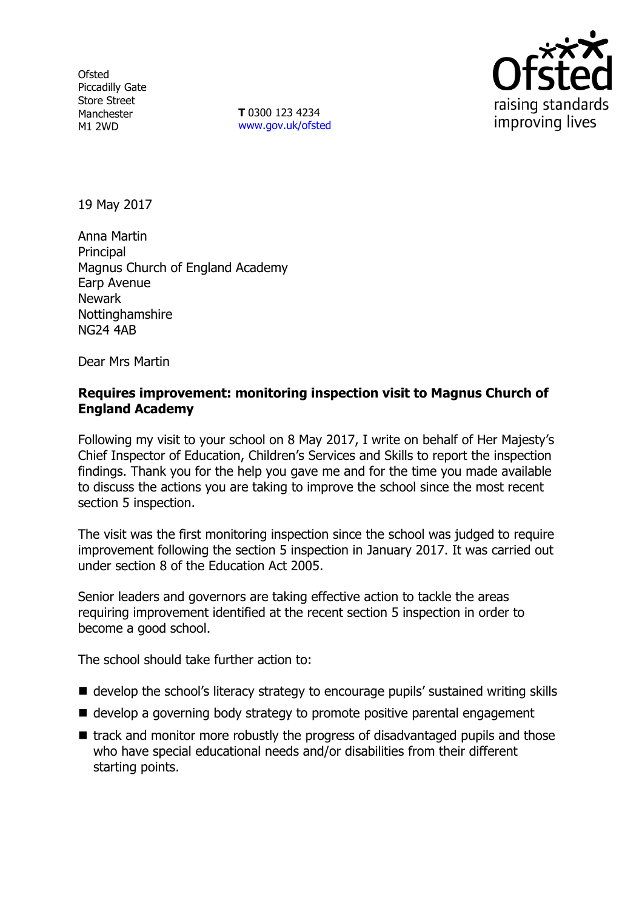**Ofsted** Piccadilly Gate Store Street Manchester M1 2WD

**T** 0300 123 4234 www.gov.uk/ofsted



19 May 2017

Anna Martin Principal Magnus Church of England Academy Earp Avenue Newark Nottinghamshire NG24 4AB

Dear Mrs Martin

### **Requires improvement: monitoring inspection visit to Magnus Church of England Academy**

Following my visit to your school on 8 May 2017, I write on behalf of Her Majesty's Chief Inspector of Education, Children's Services and Skills to report the inspection findings. Thank you for the help you gave me and for the time you made available to discuss the actions you are taking to improve the school since the most recent section 5 inspection.

The visit was the first monitoring inspection since the school was judged to require improvement following the section 5 inspection in January 2017. It was carried out under section 8 of the Education Act 2005.

Senior leaders and governors are taking effective action to tackle the areas requiring improvement identified at the recent section 5 inspection in order to become a good school.

The school should take further action to:

- develop the school's literacy strategy to encourage pupils' sustained writing skills
- develop a governing body strategy to promote positive parental engagement
- track and monitor more robustly the progress of disadvantaged pupils and those who have special educational needs and/or disabilities from their different starting points.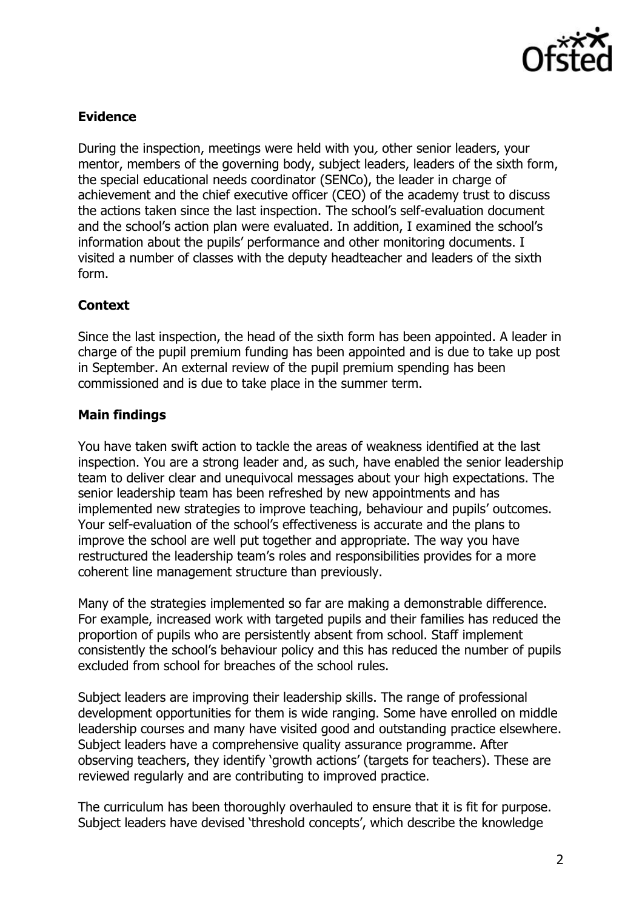

# **Evidence**

During the inspection, meetings were held with you, other senior leaders, your mentor, members of the governing body, subject leaders, leaders of the sixth form, the special educational needs coordinator (SENCo), the leader in charge of achievement and the chief executive officer (CEO) of the academy trust to discuss the actions taken since the last inspection. The school's self-evaluation document and the school's action plan were evaluated. In addition, I examined the school's information about the pupils' performance and other monitoring documents. I visited a number of classes with the deputy headteacher and leaders of the sixth form.

## **Context**

Since the last inspection, the head of the sixth form has been appointed. A leader in charge of the pupil premium funding has been appointed and is due to take up post in September. An external review of the pupil premium spending has been commissioned and is due to take place in the summer term.

## **Main findings**

You have taken swift action to tackle the areas of weakness identified at the last inspection. You are a strong leader and, as such, have enabled the senior leadership team to deliver clear and unequivocal messages about your high expectations. The senior leadership team has been refreshed by new appointments and has implemented new strategies to improve teaching, behaviour and pupils' outcomes. Your self-evaluation of the school's effectiveness is accurate and the plans to improve the school are well put together and appropriate. The way you have restructured the leadership team's roles and responsibilities provides for a more coherent line management structure than previously.

Many of the strategies implemented so far are making a demonstrable difference. For example, increased work with targeted pupils and their families has reduced the proportion of pupils who are persistently absent from school. Staff implement consistently the school's behaviour policy and this has reduced the number of pupils excluded from school for breaches of the school rules.

Subject leaders are improving their leadership skills. The range of professional development opportunities for them is wide ranging. Some have enrolled on middle leadership courses and many have visited good and outstanding practice elsewhere. Subject leaders have a comprehensive quality assurance programme. After observing teachers, they identify 'growth actions' (targets for teachers). These are reviewed regularly and are contributing to improved practice.

The curriculum has been thoroughly overhauled to ensure that it is fit for purpose. Subject leaders have devised 'threshold concepts', which describe the knowledge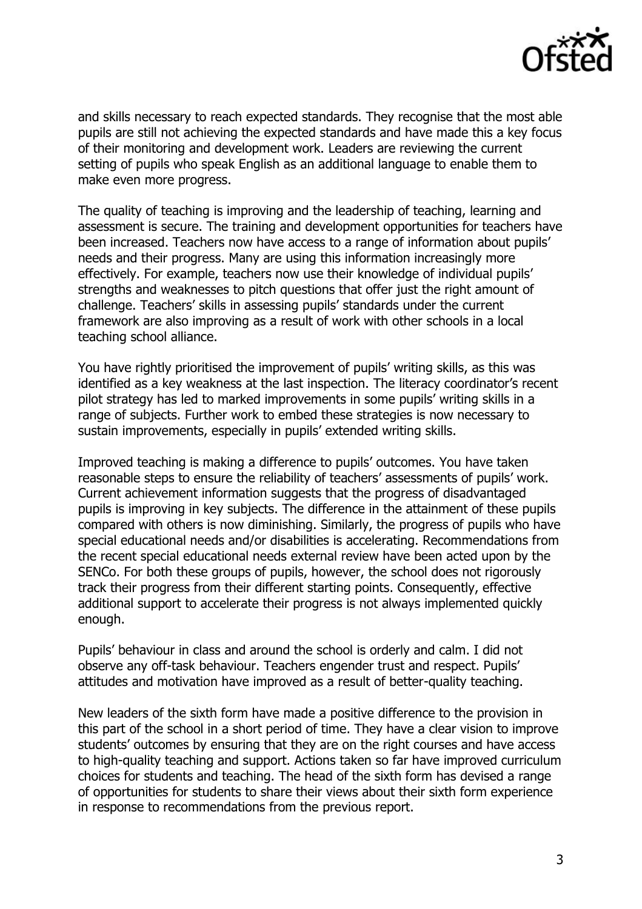

and skills necessary to reach expected standards. They recognise that the most able pupils are still not achieving the expected standards and have made this a key focus of their monitoring and development work. Leaders are reviewing the current setting of pupils who speak English as an additional language to enable them to make even more progress.

The quality of teaching is improving and the leadership of teaching, learning and assessment is secure. The training and development opportunities for teachers have been increased. Teachers now have access to a range of information about pupils' needs and their progress. Many are using this information increasingly more effectively. For example, teachers now use their knowledge of individual pupils' strengths and weaknesses to pitch questions that offer just the right amount of challenge. Teachers' skills in assessing pupils' standards under the current framework are also improving as a result of work with other schools in a local teaching school alliance.

You have rightly prioritised the improvement of pupils' writing skills, as this was identified as a key weakness at the last inspection. The literacy coordinator's recent pilot strategy has led to marked improvements in some pupils' writing skills in a range of subjects. Further work to embed these strategies is now necessary to sustain improvements, especially in pupils' extended writing skills.

Improved teaching is making a difference to pupils' outcomes. You have taken reasonable steps to ensure the reliability of teachers' assessments of pupils' work. Current achievement information suggests that the progress of disadvantaged pupils is improving in key subjects. The difference in the attainment of these pupils compared with others is now diminishing. Similarly, the progress of pupils who have special educational needs and/or disabilities is accelerating. Recommendations from the recent special educational needs external review have been acted upon by the SENCo. For both these groups of pupils, however, the school does not rigorously track their progress from their different starting points. Consequently, effective additional support to accelerate their progress is not always implemented quickly enough.

Pupils' behaviour in class and around the school is orderly and calm. I did not observe any off-task behaviour. Teachers engender trust and respect. Pupils' attitudes and motivation have improved as a result of better-quality teaching.

New leaders of the sixth form have made a positive difference to the provision in this part of the school in a short period of time. They have a clear vision to improve students' outcomes by ensuring that they are on the right courses and have access to high-quality teaching and support. Actions taken so far have improved curriculum choices for students and teaching. The head of the sixth form has devised a range of opportunities for students to share their views about their sixth form experience in response to recommendations from the previous report.